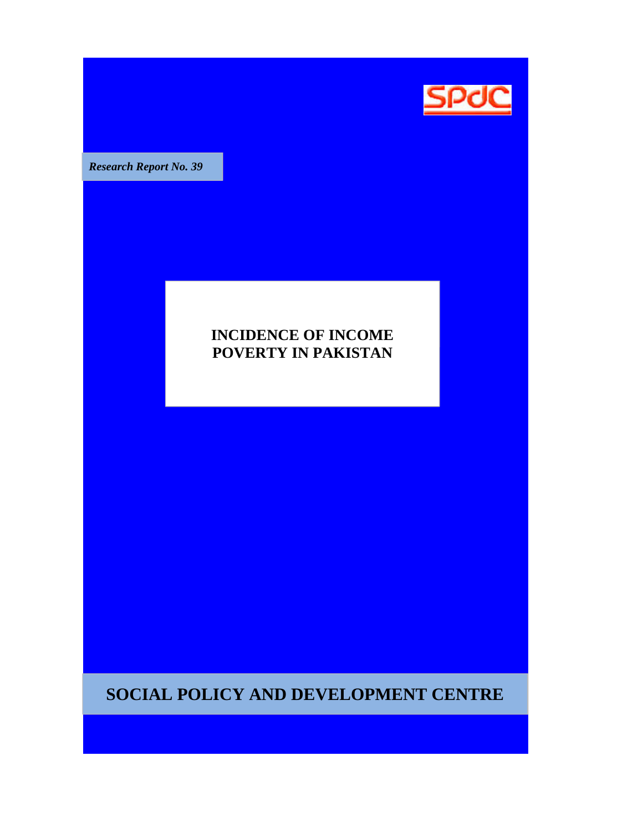

**Research Report No. 39** 

## **INCIDENCE OF INCOME POVERTY IN PAKISTAN POVERTY**

**SOCIAL POLICY AND DEVELOPMENT CENTRE**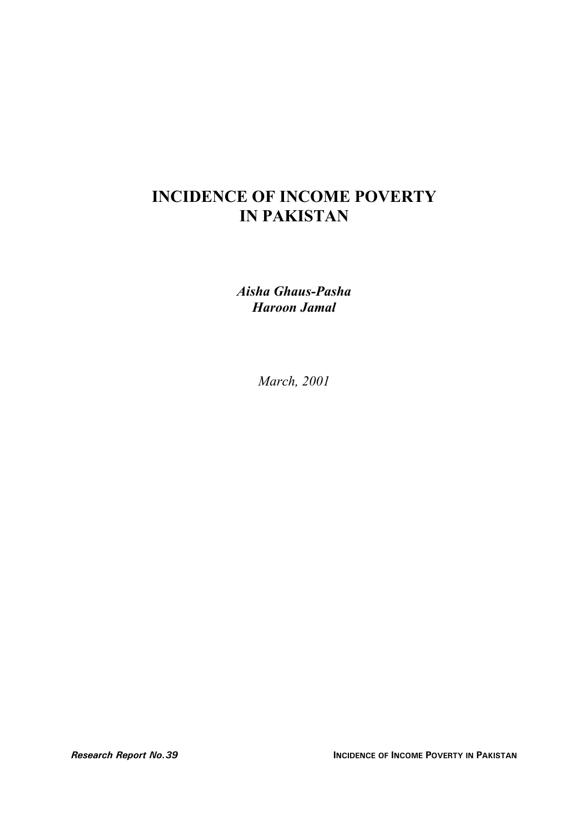# **INCIDENCE OF INCOME POVERTY IN PAKISTAN**

*Aisha Ghaus-Pasha Haroon Jamal*

*March, 2001*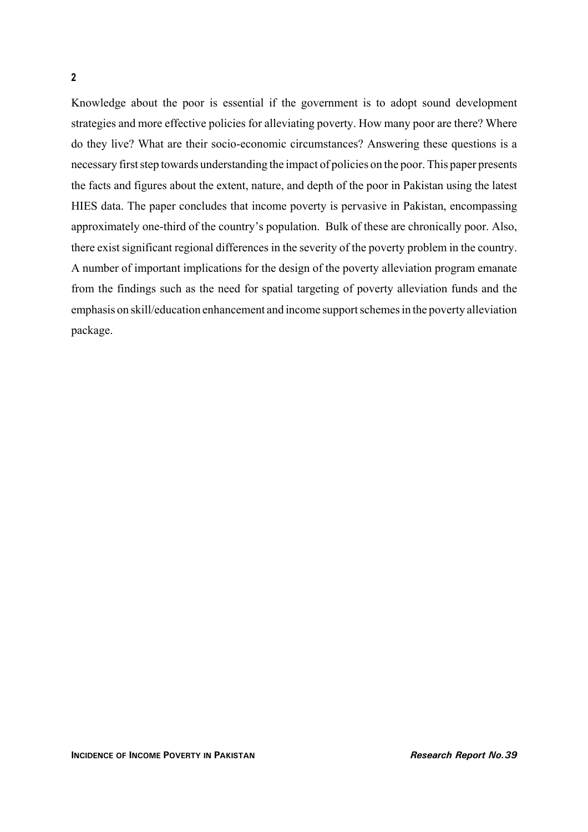Knowledge about the poor is essential if the government is to adopt sound development strategies and more effective policies for alleviating poverty. How many poor are there? Where do they live? What are their socio-economic circumstances? Answering these questions is a necessary first step towards understanding the impact of policies on the poor. This paper presents the facts and figures about the extent, nature, and depth of the poor in Pakistan using the latest HIES data. The paper concludes that income poverty is pervasive in Pakistan, encompassing approximately one-third of the country's population. Bulk of these are chronically poor. Also, there exist significant regional differences in the severity of the poverty problem in the country. A number of important implications for the design of the poverty alleviation program emanate from the findings such as the need for spatial targeting of poverty alleviation funds and the emphasis on skill/education enhancement and income support schemes in the poverty alleviation package.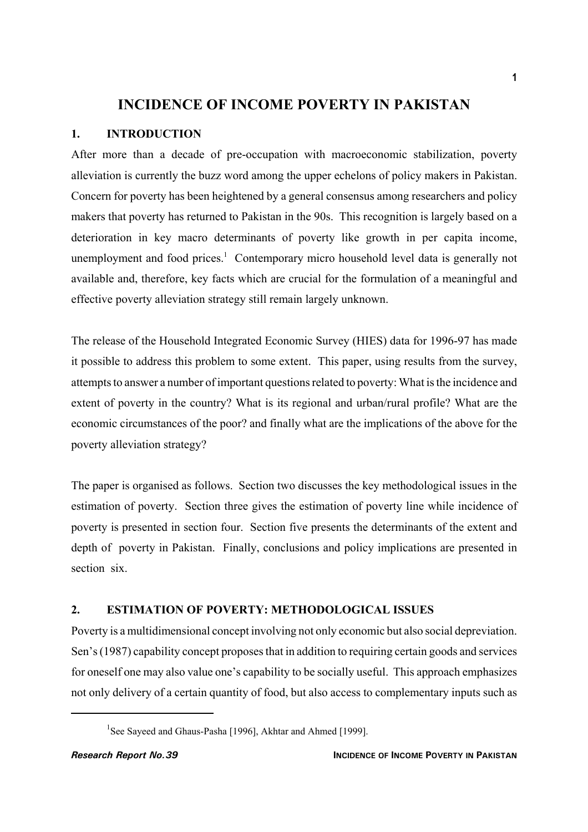## **INCIDENCE OF INCOME POVERTY IN PAKISTAN**

### **1. INTRODUCTION**

After more than a decade of pre-occupation with macroeconomic stabilization, poverty alleviation is currently the buzz word among the upper echelons of policy makers in Pakistan. Concern for poverty has been heightened by a general consensus among researchers and policy makers that poverty has returned to Pakistan in the 90s. This recognition is largely based on a deterioration in key macro determinants of poverty like growth in per capita income, unemployment and food prices.<sup>1</sup> Contemporary micro household level data is generally not available and, therefore, key facts which are crucial for the formulation of a meaningful and effective poverty alleviation strategy still remain largely unknown.

The release of the Household Integrated Economic Survey (HIES) data for 1996-97 has made it possible to address this problem to some extent. This paper, using results from the survey, attempts to answer a number of important questions related to poverty: What is the incidence and extent of poverty in the country? What is its regional and urban/rural profile? What are the economic circumstances of the poor? and finally what are the implications of the above for the poverty alleviation strategy?

The paper is organised as follows. Section two discusses the key methodological issues in the estimation of poverty. Section three gives the estimation of poverty line while incidence of poverty is presented in section four. Section five presents the determinants of the extent and depth of poverty in Pakistan. Finally, conclusions and policy implications are presented in section six.

#### **2. ESTIMATION OF POVERTY: METHODOLOGICAL ISSUES**

Poverty is a multidimensional concept involving not only economic but also social depreviation. Sen's (1987) capability concept proposes that in addition to requiring certain goods and services for oneself one may also value one's capability to be socially useful. This approach emphasizes not only delivery of a certain quantity of food, but also access to complementary inputs such as

<sup>&</sup>lt;sup>1</sup>See Sayeed and Ghaus-Pasha [1996], Akhtar and Ahmed [1999].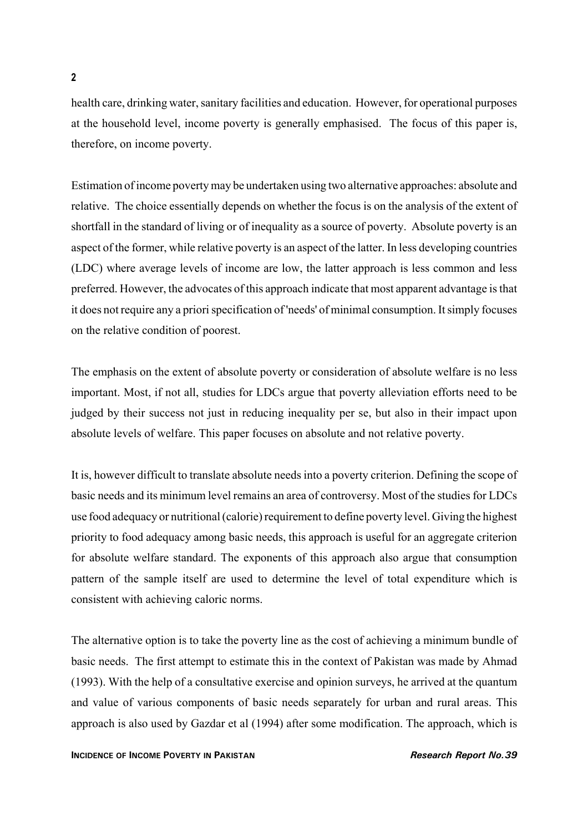health care, drinking water, sanitary facilities and education. However, for operational purposes at the household level, income poverty is generally emphasised. The focus of this paper is, therefore, on income poverty.

Estimation of income poverty may be undertaken using two alternative approaches: absolute and relative. The choice essentially depends on whether the focus is on the analysis of the extent of shortfall in the standard of living or of inequality as a source of poverty. Absolute poverty is an aspect of the former, while relative poverty is an aspect of the latter. In less developing countries (LDC) where average levels of income are low, the latter approach is less common and less preferred. However, the advocates of this approach indicate that most apparent advantage is that it does not require any a priori specification of 'needs' of minimal consumption. It simply focuses on the relative condition of poorest.

The emphasis on the extent of absolute poverty or consideration of absolute welfare is no less important. Most, if not all, studies for LDCs argue that poverty alleviation efforts need to be judged by their success not just in reducing inequality per se, but also in their impact upon absolute levels of welfare. This paper focuses on absolute and not relative poverty.

It is, however difficult to translate absolute needs into a poverty criterion. Defining the scope of basic needs and its minimum level remains an area of controversy. Most of the studies for LDCs use food adequacy or nutritional (calorie) requirement to define poverty level. Giving the highest priority to food adequacy among basic needs, this approach is useful for an aggregate criterion for absolute welfare standard. The exponents of this approach also argue that consumption pattern of the sample itself are used to determine the level of total expenditure which is consistent with achieving caloric norms.

The alternative option is to take the poverty line as the cost of achieving a minimum bundle of basic needs. The first attempt to estimate this in the context of Pakistan was made by Ahmad (1993). With the help of a consultative exercise and opinion surveys, he arrived at the quantum and value of various components of basic needs separately for urban and rural areas. This approach is also used by Gazdar et al (1994) after some modification. The approach, which is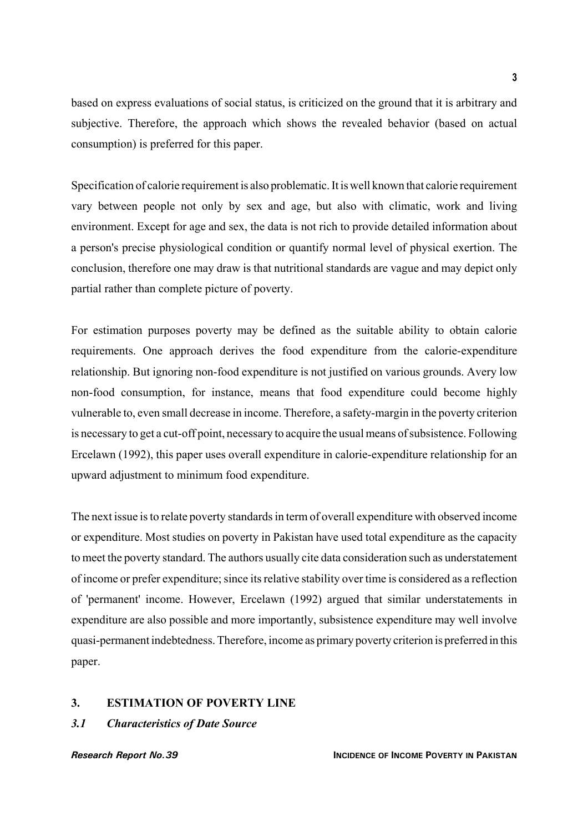based on express evaluations of social status, is criticized on the ground that it is arbitrary and subjective. Therefore, the approach which shows the revealed behavior (based on actual consumption) is preferred for this paper.

Specification of calorie requirement is also problematic. It is well known that calorie requirement vary between people not only by sex and age, but also with climatic, work and living environment. Except for age and sex, the data is not rich to provide detailed information about a person's precise physiological condition or quantify normal level of physical exertion. The conclusion, therefore one may draw is that nutritional standards are vague and may depict only partial rather than complete picture of poverty.

For estimation purposes poverty may be defined as the suitable ability to obtain calorie requirements. One approach derives the food expenditure from the calorie-expenditure relationship. But ignoring non-food expenditure is not justified on various grounds. Avery low non-food consumption, for instance, means that food expenditure could become highly vulnerable to, even small decrease in income. Therefore, a safety-margin in the poverty criterion is necessary to get a cut-off point, necessary to acquire the usual means of subsistence. Following Ercelawn (1992), this paper uses overall expenditure in calorie-expenditure relationship for an upward adjustment to minimum food expenditure.

The next issue is to relate poverty standards in term of overall expenditure with observed income or expenditure. Most studies on poverty in Pakistan have used total expenditure as the capacity to meet the poverty standard. The authors usually cite data consideration such as understatement of income or prefer expenditure; since its relative stability over time is considered as a reflection of 'permanent' income. However, Ercelawn (1992) argued that similar understatements in expenditure are also possible and more importantly, subsistence expenditure may well involve quasi-permanent indebtedness. Therefore, income as primary poverty criterion is preferred in this paper.

#### **3. ESTIMATION OF POVERTY LINE**

*3.1 Characteristics of Date Source*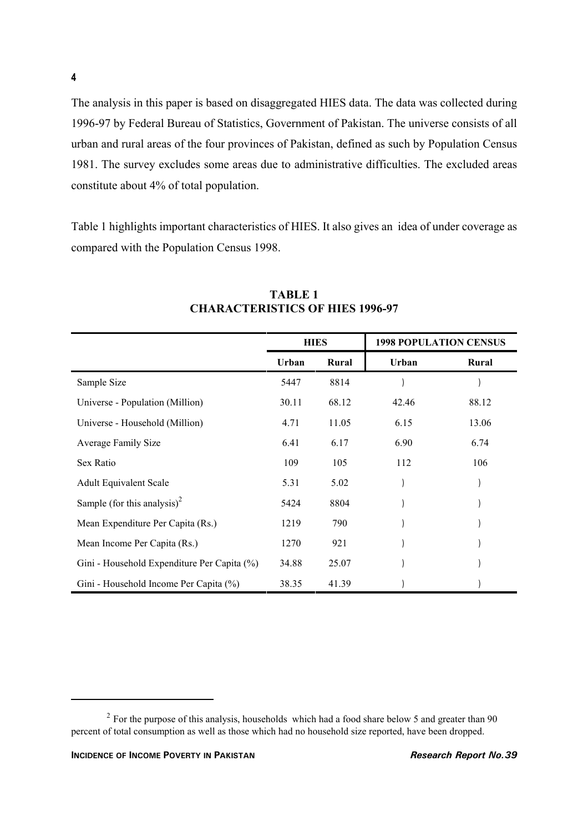The analysis in this paper is based on disaggregated HIES data. The data was collected during 1996-97 by Federal Bureau of Statistics, Government of Pakistan. The universe consists of all urban and rural areas of the four provinces of Pakistan, defined as such by Population Census 1981. The survey excludes some areas due to administrative difficulties. The excluded areas constitute about 4% of total population.

Table 1 highlights important characteristics of HIES. It also gives an idea of under coverage as compared with the Population Census 1998.

|                                             | <b>HIES</b> |       | <b>1998 POPULATION CENSUS</b> |       |
|---------------------------------------------|-------------|-------|-------------------------------|-------|
|                                             | Urban       | Rural | Urban                         | Rural |
| Sample Size                                 | 5447        | 8814  |                               |       |
| Universe - Population (Million)             | 30.11       | 68.12 | 42.46                         | 88.12 |
| Universe - Household (Million)              | 4.71        | 11.05 | 6.15                          | 13.06 |
| Average Family Size                         | 6.41        | 6.17  | 6.90                          | 6.74  |
| Sex Ratio                                   | 109         | 105   | 112                           | 106   |
| <b>Adult Equivalent Scale</b>               | 5.31        | 5.02  |                               |       |
| Sample (for this analysis) <sup>2</sup>     | 5424        | 8804  |                               |       |
| Mean Expenditure Per Capita (Rs.)           | 1219        | 790   |                               |       |
| Mean Income Per Capita (Rs.)                | 1270        | 921   |                               |       |
| Gini - Household Expenditure Per Capita (%) | 34.88       | 25.07 |                               |       |
| Gini - Household Income Per Capita (%)      | 38.35       | 41.39 |                               |       |

### **TABLE 1 CHARACTERISTICS OF HIES 1996-97**

<sup>&</sup>lt;sup>2</sup> For the purpose of this analysis, households which had a food share below 5 and greater than 90 percent of total consumption as well as those which had no household size reported, have been dropped.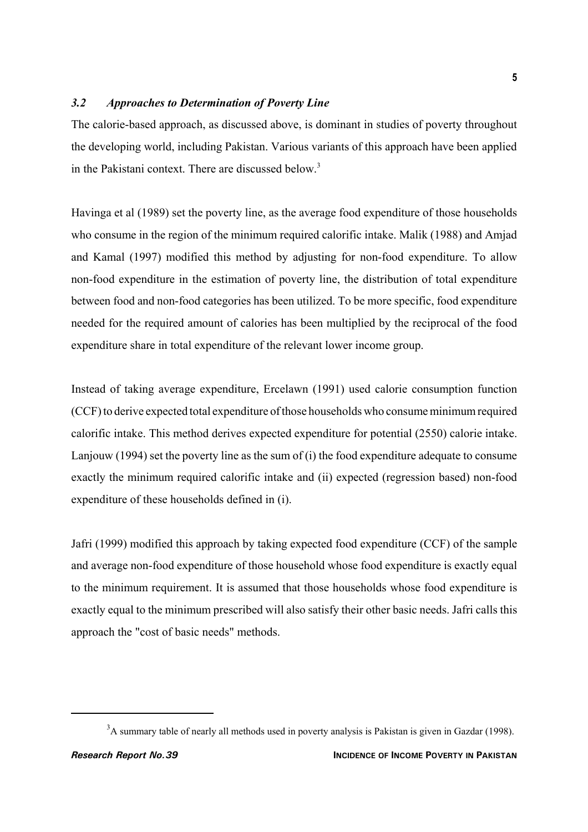#### *3.2 Approaches to Determination of Poverty Line*

The calorie-based approach, as discussed above, is dominant in studies of poverty throughout the developing world, including Pakistan. Various variants of this approach have been applied in the Pakistani context. There are discussed below.3

Havinga et al (1989) set the poverty line, as the average food expenditure of those households who consume in the region of the minimum required calorific intake. Malik (1988) and Amjad and Kamal (1997) modified this method by adjusting for non-food expenditure. To allow non-food expenditure in the estimation of poverty line, the distribution of total expenditure between food and non-food categories has been utilized. To be more specific, food expenditure needed for the required amount of calories has been multiplied by the reciprocal of the food expenditure share in total expenditure of the relevant lower income group.

Instead of taking average expenditure, Ercelawn (1991) used calorie consumption function (CCF) to derive expected total expenditure of those households who consume minimum required calorific intake. This method derives expected expenditure for potential (2550) calorie intake. Lanjouw (1994) set the poverty line as the sum of (i) the food expenditure adequate to consume exactly the minimum required calorific intake and (ii) expected (regression based) non-food expenditure of these households defined in (i).

Jafri (1999) modified this approach by taking expected food expenditure (CCF) of the sample and average non-food expenditure of those household whose food expenditure is exactly equal to the minimum requirement. It is assumed that those households whose food expenditure is exactly equal to the minimum prescribed will also satisfy their other basic needs. Jafri calls this approach the "cost of basic needs" methods.

 $3A$  summary table of nearly all methods used in poverty analysis is Pakistan is given in Gazdar (1998).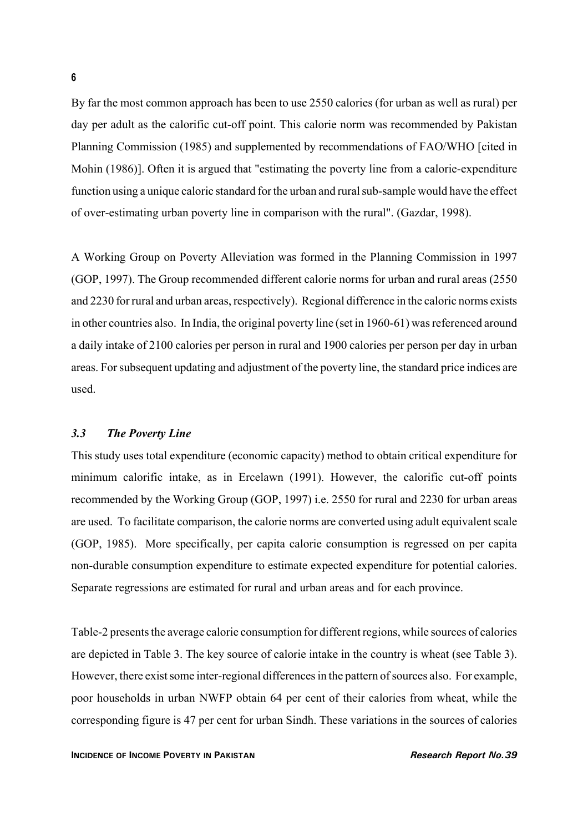By far the most common approach has been to use 2550 calories (for urban as well as rural) per day per adult as the calorific cut-off point. This calorie norm was recommended by Pakistan Planning Commission (1985) and supplemented by recommendations of FAO/WHO [cited in Mohin (1986)]. Often it is argued that "estimating the poverty line from a calorie-expenditure function using a unique caloric standard for the urban and rural sub-sample would have the effect of over-estimating urban poverty line in comparison with the rural". (Gazdar, 1998).

A Working Group on Poverty Alleviation was formed in the Planning Commission in 1997 (GOP, 1997). The Group recommended different calorie norms for urban and rural areas (2550 and 2230 for rural and urban areas, respectively). Regional difference in the caloric norms exists in other countries also. In India, the original poverty line (set in 1960-61) was referenced around a daily intake of 2100 calories per person in rural and 1900 calories per person per day in urban areas. For subsequent updating and adjustment of the poverty line, the standard price indices are used.

#### *3.3 The Poverty Line*

This study uses total expenditure (economic capacity) method to obtain critical expenditure for minimum calorific intake, as in Ercelawn (1991). However, the calorific cut-off points recommended by the Working Group (GOP, 1997) i.e. 2550 for rural and 2230 for urban areas are used. To facilitate comparison, the calorie norms are converted using adult equivalent scale (GOP, 1985). More specifically, per capita calorie consumption is regressed on per capita non-durable consumption expenditure to estimate expected expenditure for potential calories. Separate regressions are estimated for rural and urban areas and for each province.

Table-2 presents the average calorie consumption for different regions, while sources of calories are depicted in Table 3. The key source of calorie intake in the country is wheat (see Table 3). However, there exist some inter-regional differences in the pattern of sources also. For example, poor households in urban NWFP obtain 64 per cent of their calories from wheat, while the corresponding figure is 47 per cent for urban Sindh. These variations in the sources of calories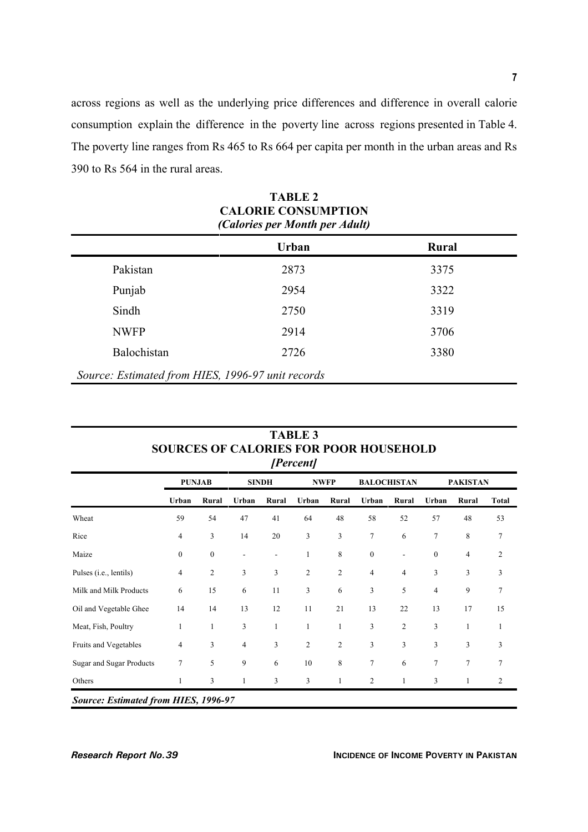across regions as well as the underlying price differences and difference in overall calorie consumption explain the difference in the poverty line across regions presented in Table 4. The poverty line ranges from Rs 465 to Rs 664 per capita per month in the urban areas and Rs 390 to Rs 564 in the rural areas.

|             | Urban | Rural |
|-------------|-------|-------|
| Pakistan    | 2873  | 3375  |
| Punjab      | 2954  | 3322  |
| Sindh       | 2750  | 3319  |
| <b>NWFP</b> | 2914  | 3706  |
| Balochistan | 2726  | 3380  |

| TABLE 2                        |
|--------------------------------|
| <b>CALORIE CONSUMPTION</b>     |
| (Calories per Month per Adult) |

| [Percent]                                   |                  |                  |       |                          |                |                |                  |                    |                  |                 |              |
|---------------------------------------------|------------------|------------------|-------|--------------------------|----------------|----------------|------------------|--------------------|------------------|-----------------|--------------|
|                                             |                  | <b>PUNJAB</b>    |       | <b>SINDH</b>             |                | <b>NWFP</b>    |                  | <b>BALOCHISTAN</b> |                  | <b>PAKISTAN</b> |              |
|                                             | Urban            | Rural            | Urban | Rural                    | Urban          | Rural          | Urban            | Rural              | Urban            | Rural           | <b>Total</b> |
| Wheat                                       | 59               | 54               | 47    | 41                       | 64             | 48             | 58               | 52                 | 57               | 48              | 53           |
| Rice                                        | $\overline{4}$   | 3                | 14    | 20                       | 3              | 3              | 7                | 6                  | $\overline{7}$   | 8               | 7            |
| Maize                                       | $\boldsymbol{0}$ | $\boldsymbol{0}$ | ٠     | $\overline{\phantom{m}}$ | 1              | 8              | $\boldsymbol{0}$ |                    | $\boldsymbol{0}$ | $\overline{4}$  | 2            |
| Pulses ( <i>i.e.</i> , lentils)             | 4                | $\overline{2}$   | 3     | 3                        | $\overline{2}$ | $\overline{2}$ | $\overline{4}$   | $\overline{4}$     | 3                | 3               | 3            |
| Milk and Milk Products                      | 6                | 15               | 6     | 11                       | 3              | 6              | 3                | 5                  | 4                | 9               | 7            |
| Oil and Vegetable Ghee                      | 14               | 14               | 13    | 12                       | 11             | 21             | 13               | 22                 | 13               | 17              | 15           |
| Meat, Fish, Poultry                         | 1                | $\mathbf{1}$     | 3     | 1                        | $\mathbf{1}$   | 1              | 3                | $\overline{2}$     | 3                | $\mathbf{1}$    |              |
| Fruits and Vegetables                       | $\overline{4}$   | 3                | 4     | 3                        | $\overline{c}$ | 2              | 3                | 3                  | 3                | 3               | 3            |
| <b>Sugar and Sugar Products</b>             | 7                | 5                | 9     | 6                        | 10             | 8              | 7                | 6                  | $\tau$           | $\overline{7}$  | 7            |
| Others                                      | 1                | 3                | 1     | 3                        | 3              | 1              | $\overline{c}$   | 1                  | 3                | 1               | 2            |
| <b>Source: Estimated from HIES, 1996-97</b> |                  |                  |       |                          |                |                |                  |                    |                  |                 |              |

# **TABLE 3 SOURCES OF CALORIES FOR POOR HOUSEHOLD**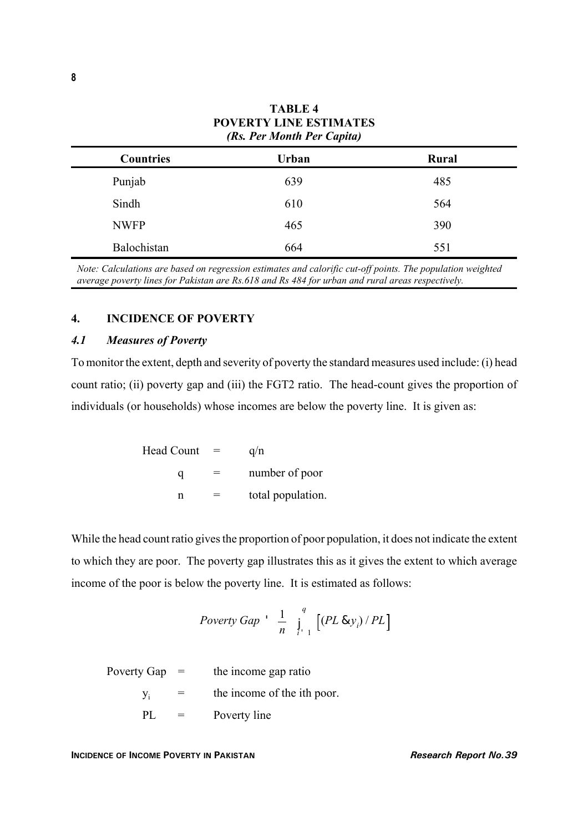| <b>Countries</b> | <b>Urban</b> | Rural |
|------------------|--------------|-------|
| Punjab           | 639          | 485   |
| Sindh            | 610          | 564   |
| <b>NWFP</b>      | 465          | 390   |
| Balochistan      | 664          | 551   |

**TABLE 4 POVERTY LINE ESTIMATES** *(Rs. Per Month Per Capita)*

*Note: Calculations are based on regression estimates and calorific cut-off points. The population weighted average poverty lines for Pakistan are Rs.618 and Rs 484 for urban and rural areas respectively.*

#### **4. INCIDENCE OF POVERTY**

#### *4.1 Measures of Poverty*

To monitor the extent, depth and severity of poverty the standard measures used include: (i) head count ratio; (ii) poverty gap and (iii) the FGT2 ratio. The head-count gives the proportion of individuals (or households) whose incomes are below the poverty line. It is given as:

Head Count = 
$$
q/n
$$
  
\n $q$  = number of poor  
\n $n$  = total population.

While the head count ratio gives the proportion of poor population, it does not indicate the extent to which they are poor. The poverty gap illustrates this as it gives the extent to which average income of the poor is below the poverty line. It is estimated as follows:

$$
Poverty\;Gap\;'\;\;\frac{1}{n}\;\;\int\limits_{i=1}^q\;\left[(PL\;8y_i)\,/\,PL\right]
$$

Poverty Gap  $=$  the income gap ratio  $y_i$  = the income of the ith poor. PL = Poverty line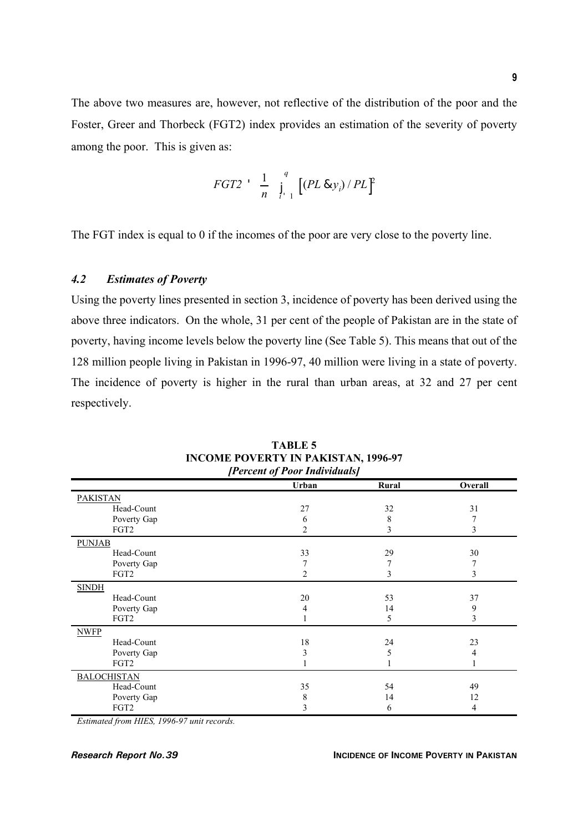The above two measures are, however, not reflective of the distribution of the poor and the Foster, Greer and Thorbeck (FGT2) index provides an estimation of the severity of poverty among the poor. This is given as:

$$
FGT2 \quad \frac{1}{n} \quad \int_{t-1}^{q} \left[ (PL \& y_i) / PL \right]^2
$$

The FGT index is equal to 0 if the incomes of the poor are very close to the poverty line.

### *4.2 Estimates of Poverty*

Using the poverty lines presented in section 3, incidence of poverty has been derived using the above three indicators. On the whole, 31 per cent of the people of Pakistan are in the state of poverty, having income levels below the poverty line (See Table 5). This means that out of the 128 million people living in Pakistan in 1996-97, 40 million were living in a state of poverty. The incidence of poverty is higher in the rural than urban areas, at 32 and 27 per cent respectively.

| Urban          | Rural | Overall                    |
|----------------|-------|----------------------------|
|                |       |                            |
| 27             | 32    | 31                         |
| 6              | 8     | 7                          |
| 2              | 3     | 3                          |
|                |       |                            |
| 33             | 29    | 30                         |
|                |       | 7                          |
| $\overline{c}$ | 3     | 3                          |
|                |       |                            |
| 20             | 53    | 37                         |
| 4              | 14    | 9                          |
|                | 5     | 3                          |
|                |       |                            |
| 18             | 24    | 23                         |
| 3              | 5     | 4                          |
|                |       |                            |
|                |       |                            |
| 35             | 54    | 49                         |
| 8              | 14    | 12                         |
| 3              | 6     | 4                          |
|                |       | Levent of Loop Individuals |

**TABLE 5 INCOME POVERTY IN PAKISTAN, 1996-97** *[Percent of Poor Individuals]*

*Estimated from HIES, 1996-97 unit records.*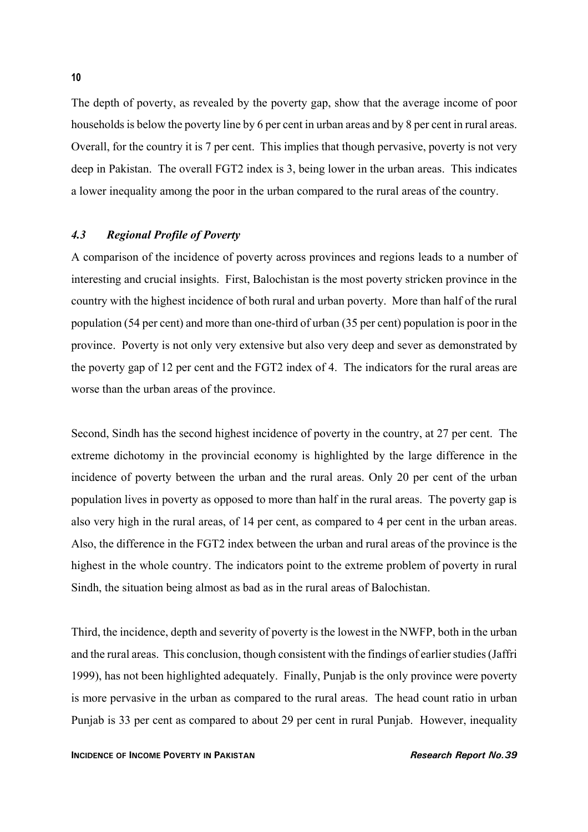The depth of poverty, as revealed by the poverty gap, show that the average income of poor households is below the poverty line by 6 per cent in urban areas and by 8 per cent in rural areas. Overall, for the country it is 7 per cent. This implies that though pervasive, poverty is not very deep in Pakistan. The overall FGT2 index is 3, being lower in the urban areas. This indicates a lower inequality among the poor in the urban compared to the rural areas of the country.

#### *4.3 Regional Profile of Poverty*

A comparison of the incidence of poverty across provinces and regions leads to a number of interesting and crucial insights. First, Balochistan is the most poverty stricken province in the country with the highest incidence of both rural and urban poverty. More than half of the rural population (54 per cent) and more than one-third of urban (35 per cent) population is poor in the province. Poverty is not only very extensive but also very deep and sever as demonstrated by the poverty gap of 12 per cent and the FGT2 index of 4. The indicators for the rural areas are worse than the urban areas of the province.

Second, Sindh has the second highest incidence of poverty in the country, at 27 per cent. The extreme dichotomy in the provincial economy is highlighted by the large difference in the incidence of poverty between the urban and the rural areas. Only 20 per cent of the urban population lives in poverty as opposed to more than half in the rural areas. The poverty gap is also very high in the rural areas, of 14 per cent, as compared to 4 per cent in the urban areas. Also, the difference in the FGT2 index between the urban and rural areas of the province is the highest in the whole country. The indicators point to the extreme problem of poverty in rural Sindh, the situation being almost as bad as in the rural areas of Balochistan.

Third, the incidence, depth and severity of poverty is the lowest in the NWFP, both in the urban and the rural areas. This conclusion, though consistent with the findings of earlier studies (Jaffri 1999), has not been highlighted adequately. Finally, Punjab is the only province were poverty is more pervasive in the urban as compared to the rural areas. The head count ratio in urban Punjab is 33 per cent as compared to about 29 per cent in rural Punjab. However, inequality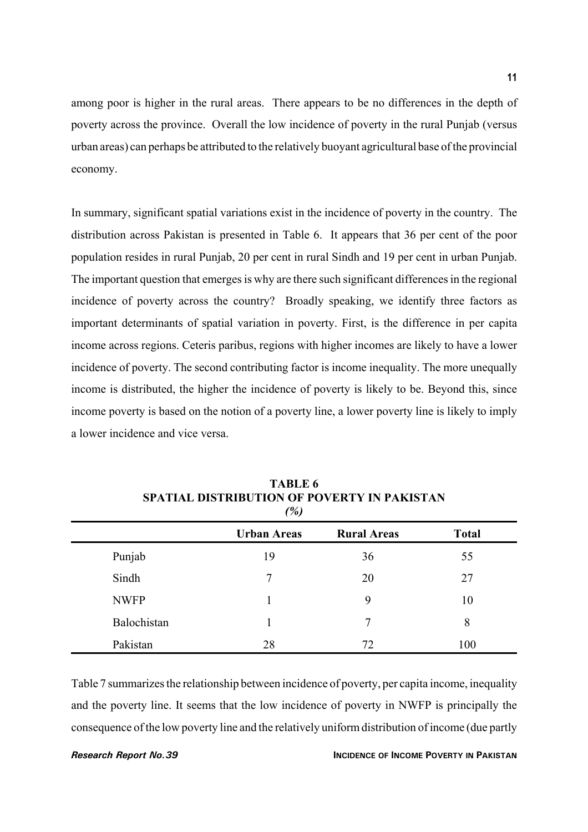among poor is higher in the rural areas. There appears to be no differences in the depth of poverty across the province. Overall the low incidence of poverty in the rural Punjab (versus urban areas) can perhaps be attributed to the relatively buoyant agricultural base of the provincial economy.

In summary, significant spatial variations exist in the incidence of poverty in the country. The distribution across Pakistan is presented in Table 6. It appears that 36 per cent of the poor population resides in rural Punjab, 20 per cent in rural Sindh and 19 per cent in urban Punjab. The important question that emerges is why are there such significant differences in the regional incidence of poverty across the country? Broadly speaking, we identify three factors as important determinants of spatial variation in poverty. First, is the difference in per capita income across regions. Ceteris paribus, regions with higher incomes are likely to have a lower incidence of poverty. The second contributing factor is income inequality. The more unequally income is distributed, the higher the incidence of poverty is likely to be. Beyond this, since income poverty is based on the notion of a poverty line, a lower poverty line is likely to imply a lower incidence and vice versa.

| (%)         |                    |                    |              |  |  |
|-------------|--------------------|--------------------|--------------|--|--|
|             | <b>Urban Areas</b> | <b>Rural Areas</b> | <b>Total</b> |  |  |
| Punjab      | 19                 | 36                 | 55           |  |  |
| Sindh       | 7                  | 20                 | 27           |  |  |
| <b>NWFP</b> |                    | 9                  | 10           |  |  |
| Balochistan |                    | 7                  | 8            |  |  |
| Pakistan    | 28                 | 72                 | 100          |  |  |

**TABLE 6 SPATIAL DISTRIBUTION OF POVERTY IN PAKISTAN**

Table 7 summarizes the relationship between incidence of poverty, per capita income, inequality and the poverty line. It seems that the low incidence of poverty in NWFP is principally the consequence of the low poverty line and the relatively uniform distribution of income (due partly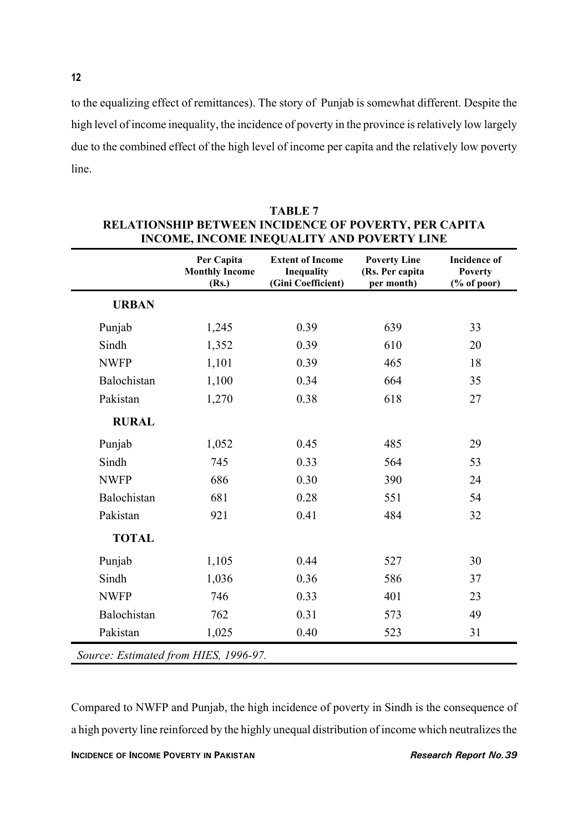to the equalizing effect of remittances). The story of Punjab is somewhat different. Despite the high level of income inequality, the incidence of poverty in the province is relatively low largely due to the combined effect of the high level of income per capita and the relatively low poverty line.

|              | Per Capita<br><b>Monthly Income</b><br>(Rs.) | <b>Extent of Income</b><br>Inequality<br>(Gini Coefficient) | <b>Poverty Line</b><br>(Rs. Per capita<br>per month) | <b>Incidence of</b><br><b>Poverty</b><br>$(% \mathbf{A})$ (% of poor) |
|--------------|----------------------------------------------|-------------------------------------------------------------|------------------------------------------------------|-----------------------------------------------------------------------|
| <b>URBAN</b> |                                              |                                                             |                                                      |                                                                       |
| Punjab       | 1,245                                        | 0.39                                                        | 639                                                  | 33                                                                    |
| Sindh        | 1,352                                        | 0.39                                                        | 610                                                  | 20                                                                    |
| <b>NWFP</b>  | 1,101                                        | 0.39                                                        | 465                                                  | 18                                                                    |
| Balochistan  | 1,100                                        | 0.34                                                        | 664                                                  | 35                                                                    |
| Pakistan     | 1,270                                        | 0.38                                                        | 618                                                  | 27                                                                    |
| <b>RURAL</b> |                                              |                                                             |                                                      |                                                                       |
| Punjab       | 1,052                                        | 0.45                                                        | 485                                                  | 29                                                                    |
| Sindh        | 745                                          | 0.33                                                        | 564                                                  | 53                                                                    |
| <b>NWFP</b>  | 686                                          | 0.30                                                        | 390                                                  | 24                                                                    |
| Balochistan  | 681                                          | 0.28                                                        | 551                                                  | 54                                                                    |
| Pakistan     | 921                                          | 0.41                                                        | 484                                                  | 32                                                                    |
| <b>TOTAL</b> |                                              |                                                             |                                                      |                                                                       |
| Punjab       | 1,105                                        | 0.44                                                        | 527                                                  | 30                                                                    |
| Sindh        | 1,036                                        | 0.36                                                        | 586                                                  | 37                                                                    |
| <b>NWFP</b>  | 746                                          | 0.33                                                        | 401                                                  | 23                                                                    |
| Balochistan  | 762                                          | 0.31                                                        | 573                                                  | 49                                                                    |
| Pakistan     | 1,025                                        | 0.40                                                        | 523                                                  | 31                                                                    |

| TABLE 7                                                      |
|--------------------------------------------------------------|
| <b>RELATIONSHIP BETWEEN INCIDENCE OF POVERTY, PER CAPITA</b> |
| INCOME, INCOME INEQUALITY AND POVERTY LINE                   |

Compared to NWFP and Punjab, the high incidence of poverty in Sindh is the consequence of a high poverty line reinforced by the highly unequal distribution of income which neutralizes the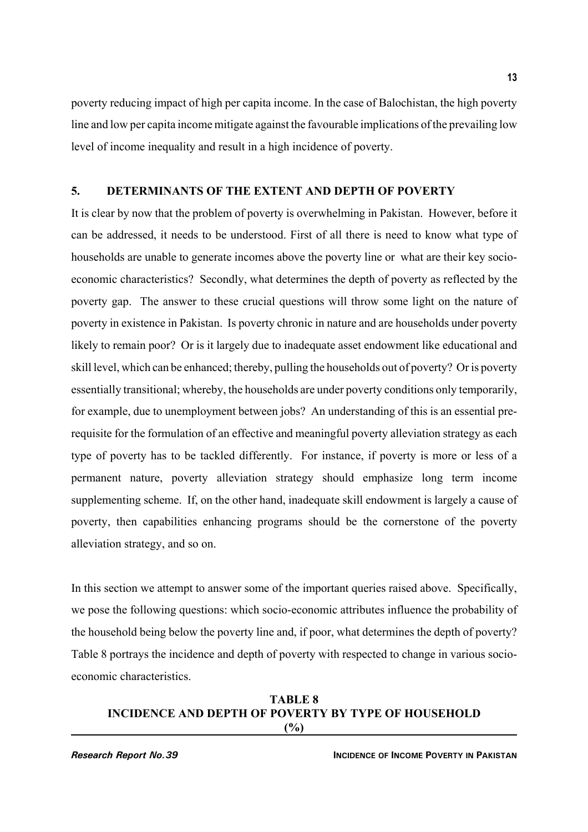poverty reducing impact of high per capita income. In the case of Balochistan, the high poverty line and low per capita income mitigate against the favourable implications of the prevailing low level of income inequality and result in a high incidence of poverty.

### **5. DETERMINANTS OF THE EXTENT AND DEPTH OF POVERTY**

It is clear by now that the problem of poverty is overwhelming in Pakistan. However, before it can be addressed, it needs to be understood. First of all there is need to know what type of households are unable to generate incomes above the poverty line or what are their key socioeconomic characteristics? Secondly, what determines the depth of poverty as reflected by the poverty gap. The answer to these crucial questions will throw some light on the nature of poverty in existence in Pakistan. Is poverty chronic in nature and are households under poverty likely to remain poor? Or is it largely due to inadequate asset endowment like educational and skill level, which can be enhanced; thereby, pulling the households out of poverty? Or is poverty essentially transitional; whereby, the households are under poverty conditions only temporarily, for example, due to unemployment between jobs? An understanding of this is an essential prerequisite for the formulation of an effective and meaningful poverty alleviation strategy as each type of poverty has to be tackled differently. For instance, if poverty is more or less of a permanent nature, poverty alleviation strategy should emphasize long term income supplementing scheme. If, on the other hand, inadequate skill endowment is largely a cause of poverty, then capabilities enhancing programs should be the cornerstone of the poverty alleviation strategy, and so on.

In this section we attempt to answer some of the important queries raised above. Specifically, we pose the following questions: which socio-economic attributes influence the probability of the household being below the poverty line and, if poor, what determines the depth of poverty? Table 8 portrays the incidence and depth of poverty with respected to change in various socioeconomic characteristics.

#### **TABLE 8 INCIDENCE AND DEPTH OF POVERTY BY TYPE OF HOUSEHOLD (%)**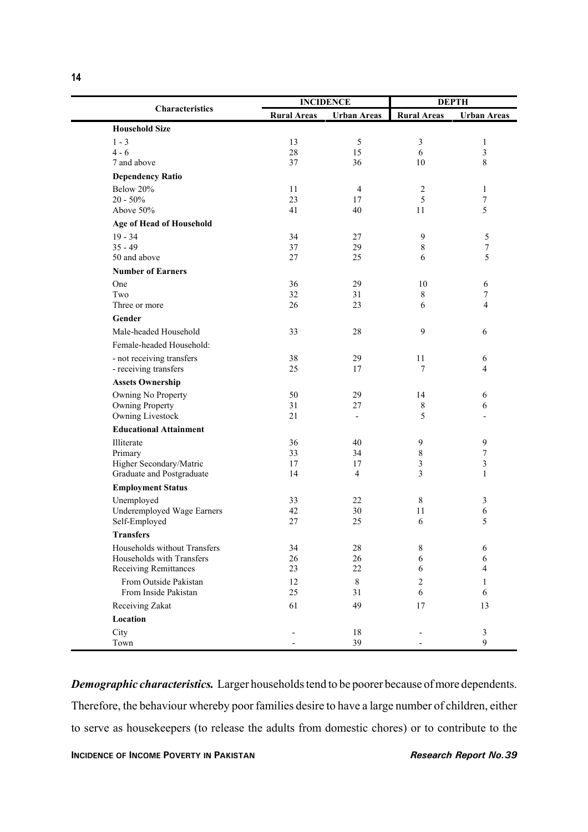|                                    |                    | <b>INCIDENCE</b>   | <b>DEPTH</b>       |                                    |
|------------------------------------|--------------------|--------------------|--------------------|------------------------------------|
| Characteristics                    | <b>Rural Areas</b> | <b>Urban Areas</b> | <b>Rural Areas</b> | <b>Urban Areas</b>                 |
| <b>Household Size</b>              |                    |                    |                    |                                    |
| $1 - 3$                            | 13                 | 5                  | $\mathfrak{Z}$     | $\mathbf{1}$                       |
| $4 - 6$                            | 28                 | 15                 | 6                  | $\mathfrak{Z}$                     |
| 7 and above                        | 37                 | 36                 | 10                 | 8                                  |
| <b>Dependency Ratio</b>            |                    |                    |                    |                                    |
| Below 20%                          | 11                 | 4                  | $\overline{c}$     | 1                                  |
| $20 - 50\%$<br>Above 50%           | 23<br>41           | 17<br>40           | 5<br>11            | $\tau$<br>5                        |
| Age of Head of Household           |                    |                    |                    |                                    |
| $19 - 34$                          | 34                 | 27                 |                    | 5                                  |
| $35 - 49$                          | 37                 | 29                 | 9<br>$\,8\,$       | $\sqrt{ }$                         |
| 50 and above                       | 27                 | 25                 | 6                  | 5                                  |
| <b>Number of Earners</b>           |                    |                    |                    |                                    |
| One                                | 36                 | 29                 | 10                 | 6                                  |
| Two                                | 32                 | 31                 | $\,8\,$            | $\boldsymbol{7}$                   |
| Three or more                      | 26                 | 23                 | 6                  | $\overline{4}$                     |
| Gender                             |                    |                    |                    |                                    |
| Male-headed Household              | 33                 | 28                 | 9                  | 6                                  |
| Female-headed Household:           |                    |                    |                    |                                    |
| - not receiving transfers          | 38                 | 29                 | 11                 | 6                                  |
| - receiving transfers              | 25                 | 17                 | 7                  | 4                                  |
| <b>Assets Ownership</b>            |                    |                    |                    |                                    |
| Owning No Property                 | 50                 | 29                 | 14                 | 6                                  |
| Owning Property                    | 31                 | 27                 | 8                  | 6                                  |
| Owning Livestock                   | 21                 |                    | 5                  |                                    |
| <b>Educational Attainment</b>      |                    |                    |                    |                                    |
| Illiterate                         | 36                 | 40                 | 9                  | $\boldsymbol{9}$                   |
| Primary<br>Higher Secondary/Matric | 33<br>17           | 34<br>17           | 8<br>3             | $\boldsymbol{7}$<br>$\mathfrak{Z}$ |
| Graduate and Postgraduate          | 14                 | $\overline{4}$     | 3                  | 1                                  |
| <b>Employment Status</b>           |                    |                    |                    |                                    |
| Unemployed                         | 33                 | 22                 | 8                  | 3                                  |
| Underemployed Wage Earners         | 42                 | 30                 | 11                 | 6                                  |
| Self-Employed                      | 27                 | 25                 | 6                  | 5                                  |
| <b>Transfers</b>                   |                    |                    |                    |                                    |
| Households without Transfers       | 34                 | 28                 | 8                  | 6                                  |
| Households with Transfers          | 26                 | 26                 | 6                  | 6                                  |
| <b>Receiving Remittances</b>       | 23                 | 22                 | 6                  | 4                                  |
| From Outside Pakistan              | 12                 | $\,8\,$            | 2                  | 1                                  |
| From Inside Pakistan               | 25                 | 31                 | 6                  | 6                                  |
| Receiving Zakat                    | 61                 | 49                 | 17                 | 13                                 |
| Location                           |                    |                    |                    |                                    |
| City                               |                    | 18                 |                    | $\mathfrak{Z}$<br>9                |
| Town                               |                    | 39                 |                    |                                    |

*Demographic characteristics.* Larger households tend to be poorer because of more dependents. Therefore, the behaviour whereby poor families desire to have a large number of children, either to serve as housekeepers (to release the adults from domestic chores) or to contribute to the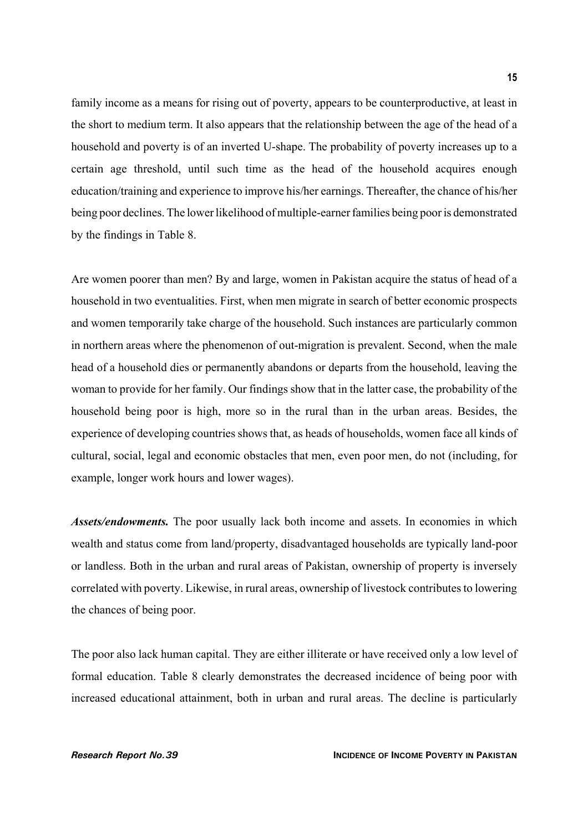family income as a means for rising out of poverty, appears to be counterproductive, at least in the short to medium term. It also appears that the relationship between the age of the head of a household and poverty is of an inverted U-shape. The probability of poverty increases up to a certain age threshold, until such time as the head of the household acquires enough education/training and experience to improve his/her earnings. Thereafter, the chance of his/her being poor declines. The lower likelihood of multiple-earner families being poor is demonstrated by the findings in Table 8.

Are women poorer than men? By and large, women in Pakistan acquire the status of head of a household in two eventualities. First, when men migrate in search of better economic prospects and women temporarily take charge of the household. Such instances are particularly common in northern areas where the phenomenon of out-migration is prevalent. Second, when the male head of a household dies or permanently abandons or departs from the household, leaving the woman to provide for her family. Our findings show that in the latter case, the probability of the household being poor is high, more so in the rural than in the urban areas. Besides, the experience of developing countries shows that, as heads of households, women face all kinds of cultural, social, legal and economic obstacles that men, even poor men, do not (including, for example, longer work hours and lower wages).

*Assets/endowments.* The poor usually lack both income and assets. In economies in which wealth and status come from land/property, disadvantaged households are typically land-poor or landless. Both in the urban and rural areas of Pakistan, ownership of property is inversely correlated with poverty. Likewise, in rural areas, ownership of livestock contributes to lowering the chances of being poor.

The poor also lack human capital. They are either illiterate or have received only a low level of formal education. Table 8 clearly demonstrates the decreased incidence of being poor with increased educational attainment, both in urban and rural areas. The decline is particularly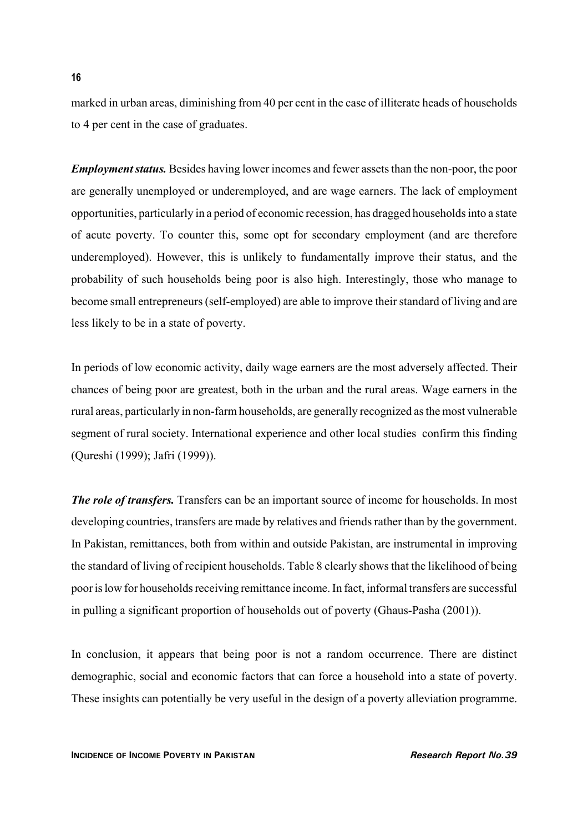marked in urban areas, diminishing from 40 per cent in the case of illiterate heads of households to 4 per cent in the case of graduates.

*Employment status.* Besides having lower incomes and fewer assets than the non-poor, the poor are generally unemployed or underemployed, and are wage earners. The lack of employment opportunities, particularly in a period of economic recession, has dragged households into a state of acute poverty. To counter this, some opt for secondary employment (and are therefore underemployed). However, this is unlikely to fundamentally improve their status, and the probability of such households being poor is also high. Interestingly, those who manage to become small entrepreneurs (self-employed) are able to improve their standard of living and are less likely to be in a state of poverty.

In periods of low economic activity, daily wage earners are the most adversely affected. Their chances of being poor are greatest, both in the urban and the rural areas. Wage earners in the rural areas, particularly in non-farm households, are generally recognized as the most vulnerable segment of rural society. International experience and other local studies confirm this finding (Qureshi (1999); Jafri (1999)).

*The role of transfers.* Transfers can be an important source of income for households. In most developing countries, transfers are made by relatives and friends rather than by the government. In Pakistan, remittances, both from within and outside Pakistan, are instrumental in improving the standard of living of recipient households. Table 8 clearly shows that the likelihood of being poor is low for households receiving remittance income. In fact, informal transfers are successful in pulling a significant proportion of households out of poverty (Ghaus-Pasha (2001)).

In conclusion, it appears that being poor is not a random occurrence. There are distinct demographic, social and economic factors that can force a household into a state of poverty. These insights can potentially be very useful in the design of a poverty alleviation programme.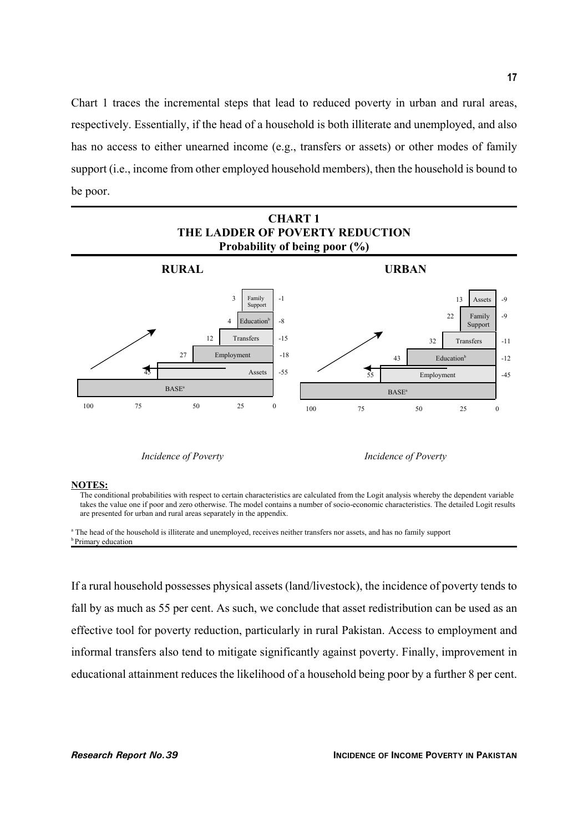Chart 1 traces the incremental steps that lead to reduced poverty in urban and rural areas, respectively. Essentially, if the head of a household is both illiterate and unemployed, and also has no access to either unearned income (e.g., transfers or assets) or other modes of family support (i.e., income from other employed household members), then the household is bound to be poor.



*Incidence of Poverty Incidence of Poverty*

#### **NOTES:**

The conditional probabilities with respect to certain characteristics are calculated from the Logit analysis whereby the dependent variable takes the value one if poor and zero otherwise. The model contains a number of socio-economic characteristics. The detailed Logit results are presented for urban and rural areas separately in the appendix.

<sup>a</sup> The head of the household is illiterate and unemployed, receives neither transfers nor assets, and has no family support **b** Primary education

If a rural household possesses physical assets (land/livestock), the incidence of poverty tends to fall by as much as 55 per cent. As such, we conclude that asset redistribution can be used as an effective tool for poverty reduction, particularly in rural Pakistan. Access to employment and informal transfers also tend to mitigate significantly against poverty. Finally, improvement in educational attainment reduces the likelihood of a household being poor by a further 8 per cent.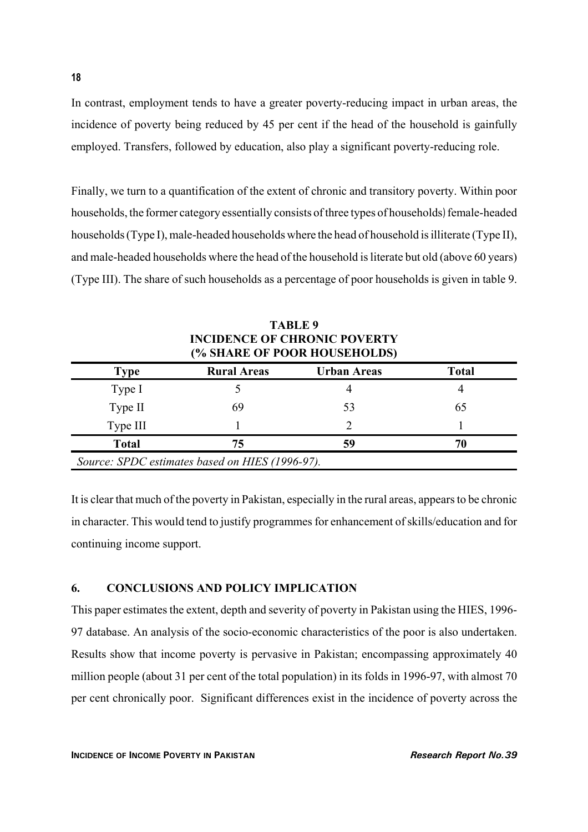In contrast, employment tends to have a greater poverty-reducing impact in urban areas, the incidence of poverty being reduced by 45 per cent if the head of the household is gainfully employed. Transfers, followed by education, also play a significant poverty-reducing role.

Finally, we turn to a quantification of the extent of chronic and transitory poverty. Within poor households, the former category essentially consists of three types of households) female-headed households (Type I), male-headed households where the head of household is illiterate (Type II), and male-headed households where the head of the household is literate but old (above 60 years) (Type III). The share of such households as a percentage of poor households is given in table 9.

| <b>INCIDENCE OF CHRONIC POVERTY</b><br>(% SHARE OF POOR HOUSEHOLDS) |                    |                    |              |  |  |
|---------------------------------------------------------------------|--------------------|--------------------|--------------|--|--|
| <b>Type</b>                                                         | <b>Rural Areas</b> | <b>Urban Areas</b> | <b>Total</b> |  |  |
| Type I                                                              |                    | 4                  |              |  |  |
| Type II                                                             | 69                 | 53                 | 65           |  |  |
| Type III                                                            |                    |                    |              |  |  |
| <b>Total</b>                                                        | 75                 | 59                 | 70           |  |  |
| Source: SPDC estimates based on HIES (1996-97).                     |                    |                    |              |  |  |

**TABLE 9 INCIDENCE OF CHRONIC POVERTY**

It is clear that much of the poverty in Pakistan, especially in the rural areas, appears to be chronic in character. This would tend to justify programmes for enhancement of skills/education and for continuing income support.

### **6. CONCLUSIONS AND POLICY IMPLICATION**

This paper estimates the extent, depth and severity of poverty in Pakistan using the HIES, 1996- 97 database. An analysis of the socio-economic characteristics of the poor is also undertaken. Results show that income poverty is pervasive in Pakistan; encompassing approximately 40 million people (about 31 per cent of the total population) in its folds in 1996-97, with almost 70 per cent chronically poor. Significant differences exist in the incidence of poverty across the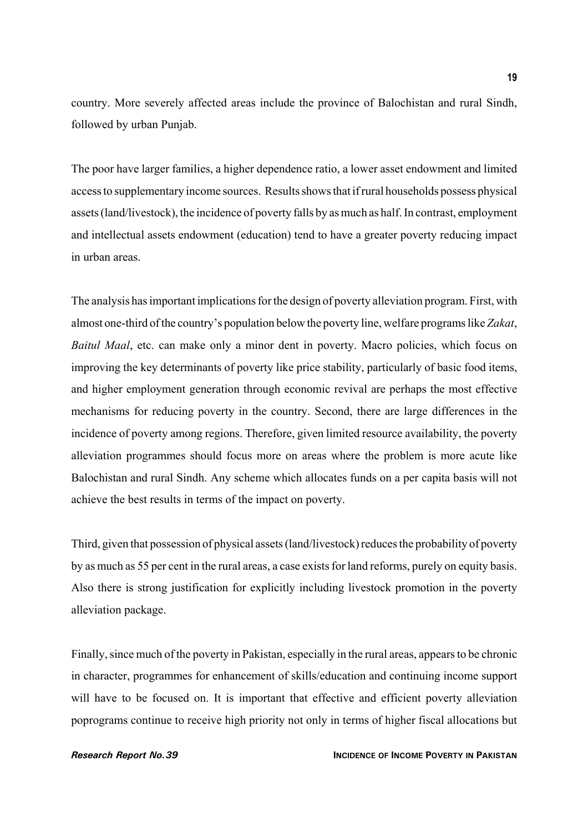country. More severely affected areas include the province of Balochistan and rural Sindh, followed by urban Punjab.

The poor have larger families, a higher dependence ratio, a lower asset endowment and limited access to supplementary income sources. Results shows that if rural households possess physical assets (land/livestock), the incidence of poverty falls by as much as half. In contrast, employment and intellectual assets endowment (education) tend to have a greater poverty reducing impact in urban areas.

The analysis has important implications for the design of poverty alleviation program. First, with almost one-third of the country's population below the poverty line, welfare programs like *Zakat*, *Baitul Maal*, etc. can make only a minor dent in poverty. Macro policies, which focus on improving the key determinants of poverty like price stability, particularly of basic food items, and higher employment generation through economic revival are perhaps the most effective mechanisms for reducing poverty in the country. Second, there are large differences in the incidence of poverty among regions. Therefore, given limited resource availability, the poverty alleviation programmes should focus more on areas where the problem is more acute like Balochistan and rural Sindh. Any scheme which allocates funds on a per capita basis will not achieve the best results in terms of the impact on poverty.

Third, given that possession of physical assets (land/livestock) reduces the probability of poverty by as much as 55 per cent in the rural areas, a case exists for land reforms, purely on equity basis. Also there is strong justification for explicitly including livestock promotion in the poverty alleviation package.

Finally, since much of the poverty in Pakistan, especially in the rural areas, appears to be chronic in character, programmes for enhancement of skills/education and continuing income support will have to be focused on. It is important that effective and efficient poverty alleviation poprograms continue to receive high priority not only in terms of higher fiscal allocations but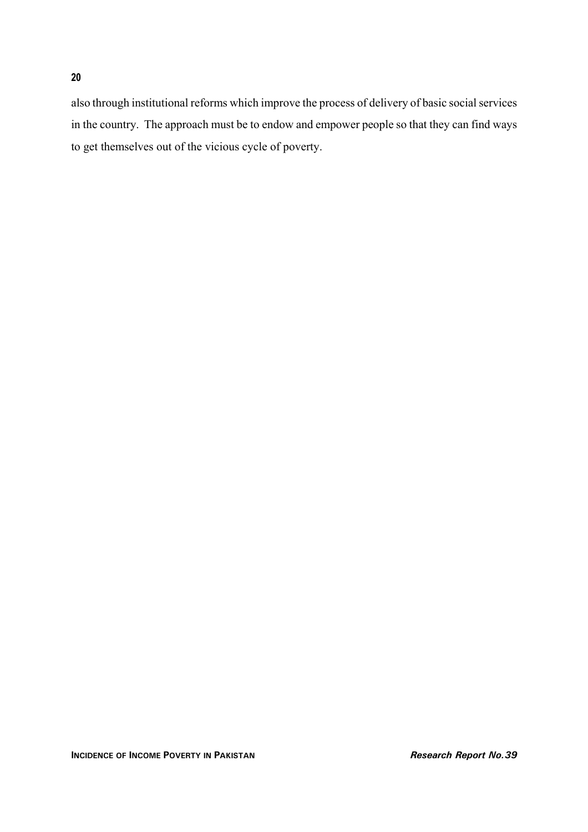also through institutional reforms which improve the process of delivery of basic social services in the country. The approach must be to endow and empower people so that they can find ways to get themselves out of the vicious cycle of poverty.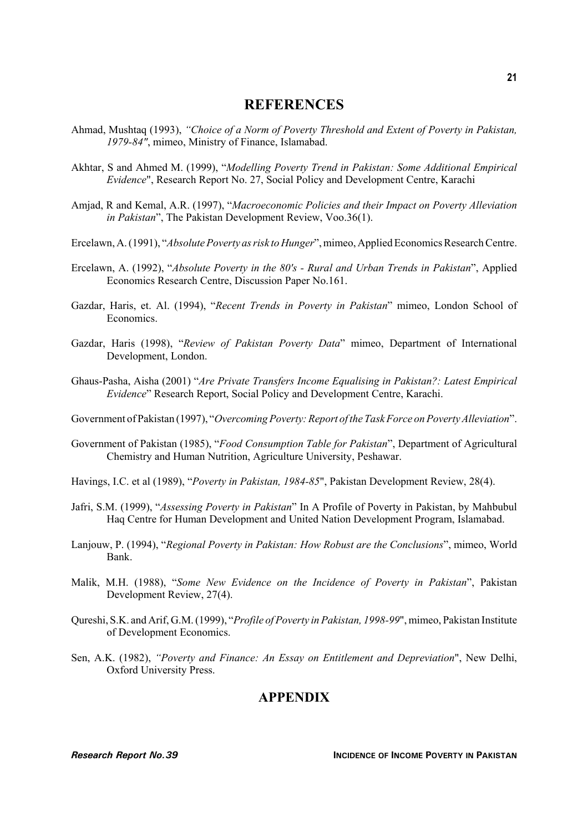### **REFERENCES**

- Ahmad, Mushtaq (1993), *"Choice of a Norm of Poverty Threshold and Extent of Poverty in Pakistan, 1979-84"*, mimeo, Ministry of Finance, Islamabad.
- Akhtar, S and Ahmed M. (1999), "*Modelling Poverty Trend in Pakistan: Some Additional Empirical Evidence*", Research Report No. 27, Social Policy and Development Centre, Karachi
- Amjad, R and Kemal, A.R. (1997), "*Macroeconomic Policies and their Impact on Poverty Alleviation in Pakistan*", The Pakistan Development Review, Voo.36(1).
- Ercelawn, A. (1991), "*Absolute Poverty as risk to Hunger*", mimeo, Applied Economics Research Centre.
- Ercelawn, A. (1992), "*Absolute Poverty in the 80's Rural and Urban Trends in Pakistan*", Applied Economics Research Centre, Discussion Paper No.161.
- Gazdar, Haris, et. Al. (1994), "*Recent Trends in Poverty in Pakistan*" mimeo, London School of Economics.
- Gazdar, Haris (1998), "*Review of Pakistan Poverty Data*" mimeo, Department of International Development, London.
- Ghaus-Pasha, Aisha (2001) "*Are Private Transfers Income Equalising in Pakistan?: Latest Empirical Evidence*" Research Report, Social Policy and Development Centre, Karachi.
- Government of Pakistan (1997), "*Overcoming Poverty: Report of the Task Force on Poverty Alleviation*".
- Government of Pakistan (1985), "*Food Consumption Table for Pakistan*", Department of Agricultural Chemistry and Human Nutrition, Agriculture University, Peshawar.
- Havings, I.C. et al (1989), "*Poverty in Pakistan, 1984-85*", Pakistan Development Review, 28(4).
- Jafri, S.M. (1999), "*Assessing Poverty in Pakistan*" In A Profile of Poverty in Pakistan, by Mahbubul Haq Centre for Human Development and United Nation Development Program, Islamabad.
- Lanjouw, P. (1994), "*Regional Poverty in Pakistan: How Robust are the Conclusions*", mimeo, World Bank.
- Malik, M.H. (1988), "*Some New Evidence on the Incidence of Poverty in Pakistan*", Pakistan Development Review, 27(4).
- Qureshi, S.K. and Arif, G.M. (1999), "*Profile of Poverty in Pakistan, 1998-99*", mimeo, Pakistan Institute of Development Economics.
- Sen, A.K. (1982), *"Poverty and Finance: An Essay on Entitlement and Depreviation*", New Delhi, Oxford University Press.

## **APPENDIX**

**21**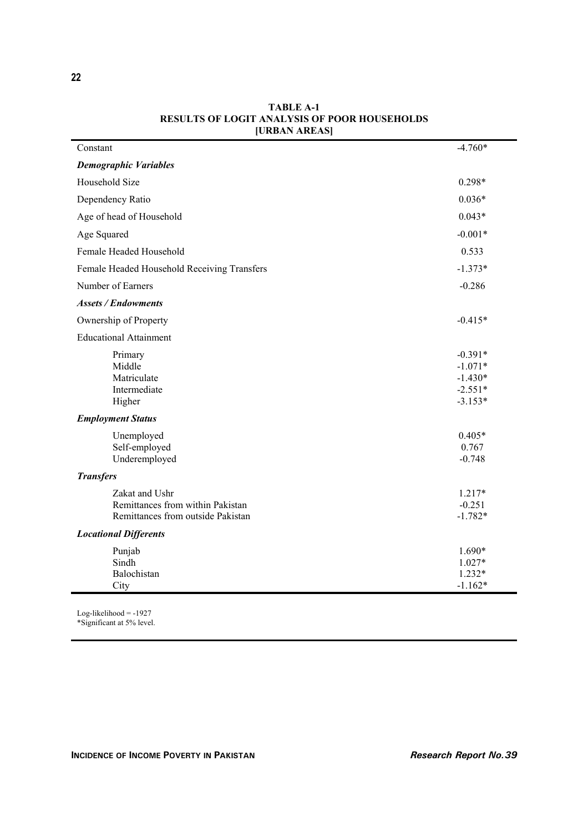| <b>CHAPTER LETTERS</b>                      |           |
|---------------------------------------------|-----------|
| Constant                                    | $-4.760*$ |
| <b>Demographic Variables</b>                |           |
| Household Size                              | $0.298*$  |
| Dependency Ratio                            | $0.036*$  |
| Age of head of Household                    | $0.043*$  |
| Age Squared                                 | $-0.001*$ |
| Female Headed Household                     | 0.533     |
| Female Headed Household Receiving Transfers | $-1.373*$ |
| Number of Earners                           | $-0.286$  |
| <b>Assets / Endowments</b>                  |           |
| Ownership of Property                       | $-0.415*$ |
| <b>Educational Attainment</b>               |           |
| Primary                                     | $-0.391*$ |
| Middle                                      | $-1.071*$ |
| Matriculate                                 | $-1.430*$ |
| Intermediate                                | $-2.551*$ |
| Higher                                      | $-3.153*$ |
| <b>Employment Status</b>                    |           |
| Unemployed                                  | $0.405*$  |
| Self-employed                               | 0.767     |
| Underemployed                               | $-0.748$  |
| <b>Transfers</b>                            |           |
| Zakat and Ushr                              | 1.217*    |
| Remittances from within Pakistan            | $-0.251$  |
| Remittances from outside Pakistan           | $-1.782*$ |
| <b>Locational Differents</b>                |           |
| Punjab                                      | 1.690*    |
| Sindh                                       | 1.027*    |
| Balochistan                                 | $1.232*$  |
| City                                        | $-1.162*$ |

#### **TABLE A-1 RESULTS OF LOGIT ANALYSIS OF POOR HOUSEHOLDS [URBAN AREAS]**

Log-likelihood = -1927 \*Significant at 5% level.

**22**